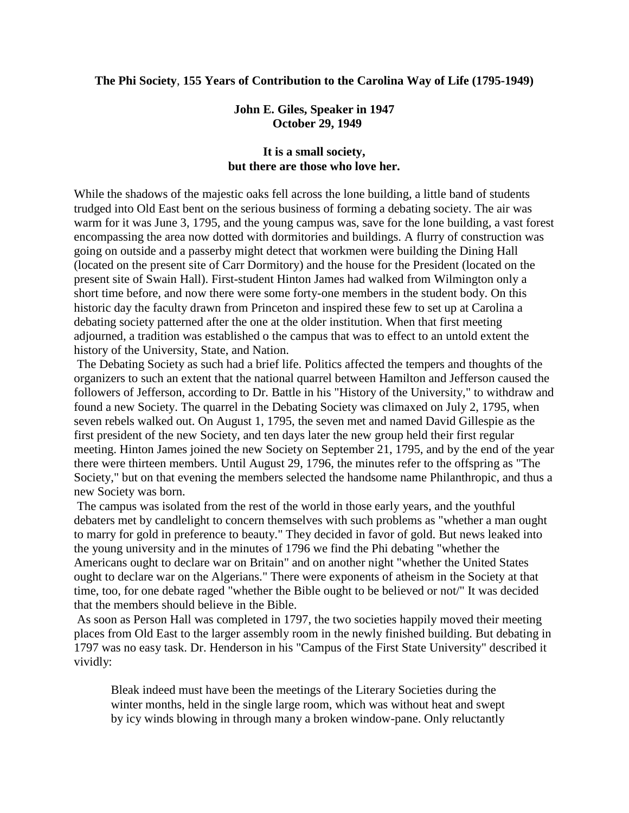#### **The Phi Society**, **155 Years of Contribution to the Carolina Way of Life (1795-1949)**

### **John E. Giles, Speaker in 1947 October 29, 1949**

## **It is a small society, but there are those who love her.**

While the shadows of the majestic oaks fell across the lone building, a little band of students trudged into Old East bent on the serious business of forming a debating society. The air was warm for it was June 3, 1795, and the young campus was, save for the lone building, a vast forest encompassing the area now dotted with dormitories and buildings. A flurry of construction was going on outside and a passerby might detect that workmen were building the Dining Hall (located on the present site of Carr Dormitory) and the house for the President (located on the present site of Swain Hall). First-student Hinton James had walked from Wilmington only a short time before, and now there were some forty-one members in the student body. On this historic day the faculty drawn from Princeton and inspired these few to set up at Carolina a debating society patterned after the one at the older institution. When that first meeting adjourned, a tradition was established o the campus that was to effect to an untold extent the history of the University, State, and Nation.

The Debating Society as such had a brief life. Politics affected the tempers and thoughts of the organizers to such an extent that the national quarrel between Hamilton and Jefferson caused the followers of Jefferson, according to Dr. Battle in his "History of the University," to withdraw and found a new Society. The quarrel in the Debating Society was climaxed on July 2, 1795, when seven rebels walked out. On August 1, 1795, the seven met and named David Gillespie as the first president of the new Society, and ten days later the new group held their first regular meeting. Hinton James joined the new Society on September 21, 1795, and by the end of the year there were thirteen members. Until August 29, 1796, the minutes refer to the offspring as "The Society," but on that evening the members selected the handsome name Philanthropic, and thus a new Society was born.

The campus was isolated from the rest of the world in those early years, and the youthful debaters met by candlelight to concern themselves with such problems as "whether a man ought to marry for gold in preference to beauty." They decided in favor of gold. But news leaked into the young university and in the minutes of 1796 we find the Phi debating "whether the Americans ought to declare war on Britain" and on another night "whether the United States ought to declare war on the Algerians." There were exponents of atheism in the Society at that time, too, for one debate raged "whether the Bible ought to be believed or not/" It was decided that the members should believe in the Bible.

As soon as Person Hall was completed in 1797, the two societies happily moved their meeting places from Old East to the larger assembly room in the newly finished building. But debating in 1797 was no easy task. Dr. Henderson in his "Campus of the First State University" described it vividly:

Bleak indeed must have been the meetings of the Literary Societies during the winter months, held in the single large room, which was without heat and swept by icy winds blowing in through many a broken window-pane. Only reluctantly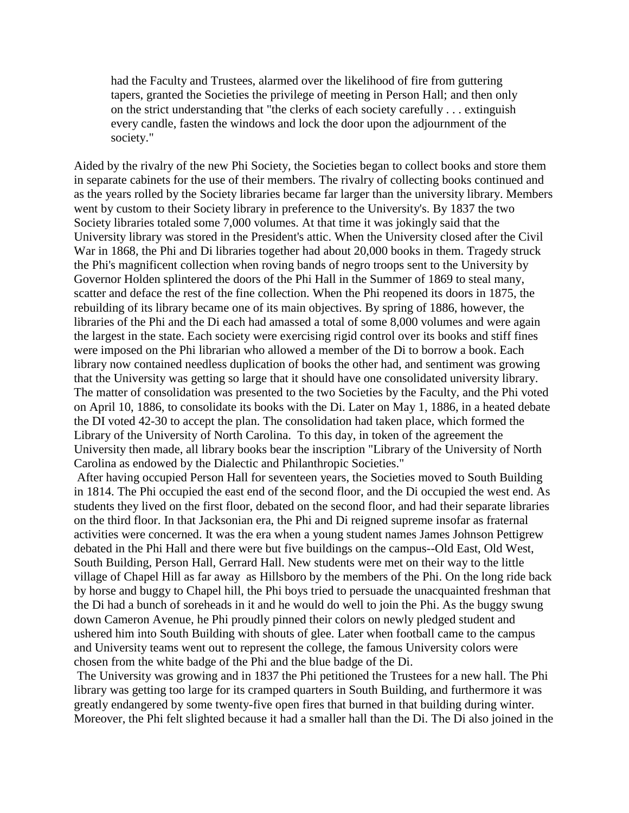had the Faculty and Trustees, alarmed over the likelihood of fire from guttering tapers, granted the Societies the privilege of meeting in Person Hall; and then only on the strict understanding that "the clerks of each society carefully . . . extinguish every candle, fasten the windows and lock the door upon the adjournment of the society."

Aided by the rivalry of the new Phi Society, the Societies began to collect books and store them in separate cabinets for the use of their members. The rivalry of collecting books continued and as the years rolled by the Society libraries became far larger than the university library. Members went by custom to their Society library in preference to the University's. By 1837 the two Society libraries totaled some 7,000 volumes. At that time it was jokingly said that the University library was stored in the President's attic. When the University closed after the Civil War in 1868, the Phi and Di libraries together had about 20,000 books in them. Tragedy struck the Phi's magnificent collection when roving bands of negro troops sent to the University by Governor Holden splintered the doors of the Phi Hall in the Summer of 1869 to steal many, scatter and deface the rest of the fine collection. When the Phi reopened its doors in 1875, the rebuilding of its library became one of its main objectives. By spring of 1886, however, the libraries of the Phi and the Di each had amassed a total of some 8,000 volumes and were again the largest in the state. Each society were exercising rigid control over its books and stiff fines were imposed on the Phi librarian who allowed a member of the Di to borrow a book. Each library now contained needless duplication of books the other had, and sentiment was growing that the University was getting so large that it should have one consolidated university library. The matter of consolidation was presented to the two Societies by the Faculty, and the Phi voted on April 10, 1886, to consolidate its books with the Di. Later on May 1, 1886, in a heated debate the DI voted 42-30 to accept the plan. The consolidation had taken place, which formed the Library of the University of North Carolina. To this day, in token of the agreement the University then made, all library books bear the inscription "Library of the University of North Carolina as endowed by the Dialectic and Philanthropic Societies."

After having occupied Person Hall for seventeen years, the Societies moved to South Building in 1814. The Phi occupied the east end of the second floor, and the Di occupied the west end. As students they lived on the first floor, debated on the second floor, and had their separate libraries on the third floor. In that Jacksonian era, the Phi and Di reigned supreme insofar as fraternal activities were concerned. It was the era when a young student names James Johnson Pettigrew debated in the Phi Hall and there were but five buildings on the campus--Old East, Old West, South Building, Person Hall, Gerrard Hall. New students were met on their way to the little village of Chapel Hill as far away as Hillsboro by the members of the Phi. On the long ride back by horse and buggy to Chapel hill, the Phi boys tried to persuade the unacquainted freshman that the Di had a bunch of soreheads in it and he would do well to join the Phi. As the buggy swung down Cameron Avenue, he Phi proudly pinned their colors on newly pledged student and ushered him into South Building with shouts of glee. Later when football came to the campus and University teams went out to represent the college, the famous University colors were chosen from the white badge of the Phi and the blue badge of the Di.

The University was growing and in 1837 the Phi petitioned the Trustees for a new hall. The Phi library was getting too large for its cramped quarters in South Building, and furthermore it was greatly endangered by some twenty-five open fires that burned in that building during winter. Moreover, the Phi felt slighted because it had a smaller hall than the Di. The Di also joined in the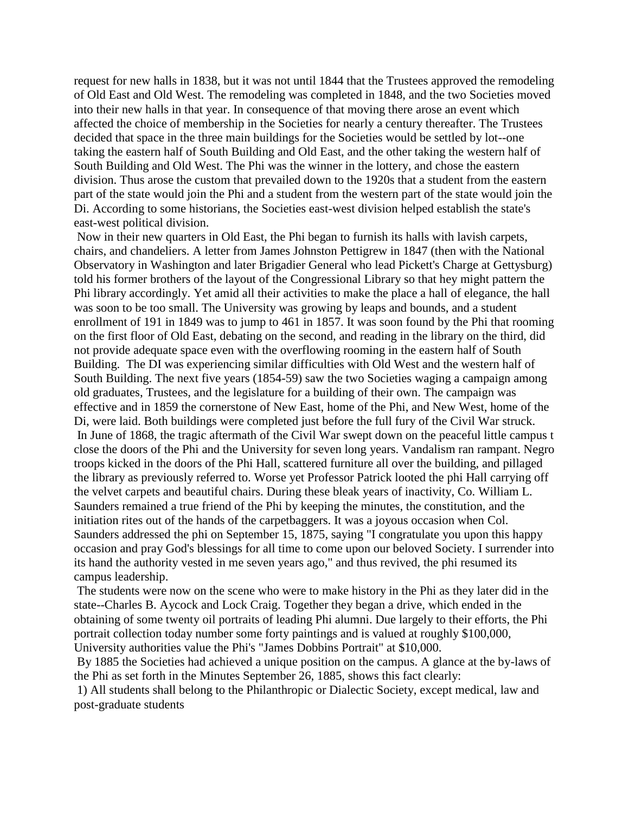request for new halls in 1838, but it was not until 1844 that the Trustees approved the remodeling of Old East and Old West. The remodeling was completed in 1848, and the two Societies moved into their new halls in that year. In consequence of that moving there arose an event which affected the choice of membership in the Societies for nearly a century thereafter. The Trustees decided that space in the three main buildings for the Societies would be settled by lot--one taking the eastern half of South Building and Old East, and the other taking the western half of South Building and Old West. The Phi was the winner in the lottery, and chose the eastern division. Thus arose the custom that prevailed down to the 1920s that a student from the eastern part of the state would join the Phi and a student from the western part of the state would join the Di. According to some historians, the Societies east-west division helped establish the state's east-west political division.

Now in their new quarters in Old East, the Phi began to furnish its halls with lavish carpets, chairs, and chandeliers. A letter from James Johnston Pettigrew in 1847 (then with the National Observatory in Washington and later Brigadier General who lead Pickett's Charge at Gettysburg) told his former brothers of the layout of the Congressional Library so that hey might pattern the Phi library accordingly. Yet amid all their activities to make the place a hall of elegance, the hall was soon to be too small. The University was growing by leaps and bounds, and a student enrollment of 191 in 1849 was to jump to 461 in 1857. It was soon found by the Phi that rooming on the first floor of Old East, debating on the second, and reading in the library on the third, did not provide adequate space even with the overflowing rooming in the eastern half of South Building. The DI was experiencing similar difficulties with Old West and the western half of South Building. The next five years (1854-59) saw the two Societies waging a campaign among old graduates, Trustees, and the legislature for a building of their own. The campaign was effective and in 1859 the cornerstone of New East, home of the Phi, and New West, home of the Di, were laid. Both buildings were completed just before the full fury of the Civil War struck. In June of 1868, the tragic aftermath of the Civil War swept down on the peaceful little campus t close the doors of the Phi and the University for seven long years. Vandalism ran rampant. Negro troops kicked in the doors of the Phi Hall, scattered furniture all over the building, and pillaged the library as previously referred to. Worse yet Professor Patrick looted the phi Hall carrying off the velvet carpets and beautiful chairs. During these bleak years of inactivity, Co. William L. Saunders remained a true friend of the Phi by keeping the minutes, the constitution, and the initiation rites out of the hands of the carpetbaggers. It was a joyous occasion when Col. Saunders addressed the phi on September 15, 1875, saying "I congratulate you upon this happy occasion and pray God's blessings for all time to come upon our beloved Society. I surrender into its hand the authority vested in me seven years ago," and thus revived, the phi resumed its campus leadership.

The students were now on the scene who were to make history in the Phi as they later did in the state--Charles B. Aycock and Lock Craig. Together they began a drive, which ended in the obtaining of some twenty oil portraits of leading Phi alumni. Due largely to their efforts, the Phi portrait collection today number some forty paintings and is valued at roughly \$100,000, University authorities value the Phi's "James Dobbins Portrait" at \$10,000.

By 1885 the Societies had achieved a unique position on the campus. A glance at the by-laws of the Phi as set forth in the Minutes September 26, 1885, shows this fact clearly:

1) All students shall belong to the Philanthropic or Dialectic Society, except medical, law and post-graduate students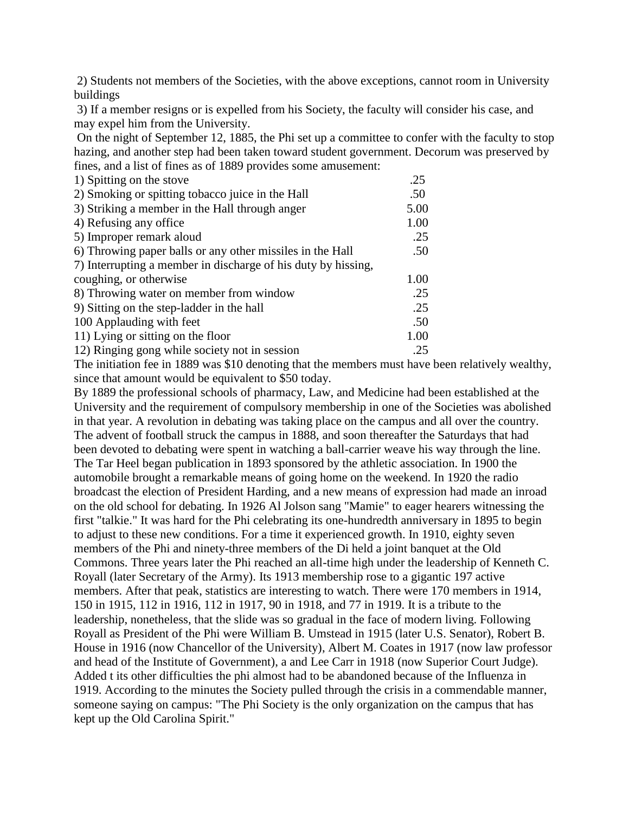2) Students not members of the Societies, with the above exceptions, cannot room in University buildings

3) If a member resigns or is expelled from his Society, the faculty will consider his case, and may expel him from the University.

On the night of September 12, 1885, the Phi set up a committee to confer with the faculty to stop hazing, and another step had been taken toward student government. Decorum was preserved by fines, and a list of fines as of 1889 provides some amusement:

| 1) Spitting on the stove                                      | .25  |
|---------------------------------------------------------------|------|
| 2) Smoking or spitting tobacco juice in the Hall              | .50  |
| 3) Striking a member in the Hall through anger                | 5.00 |
| 4) Refusing any office                                        | 1.00 |
| 5) Improper remark aloud                                      | .25  |
| 6) Throwing paper balls or any other missiles in the Hall     | .50  |
| 7) Interrupting a member in discharge of his duty by hissing, |      |
| coughing, or otherwise                                        | 1.00 |
| 8) Throwing water on member from window                       | .25  |
| 9) Sitting on the step-ladder in the hall                     | .25  |
| 100 Applauding with feet                                      | .50  |
| 11) Lying or sitting on the floor                             | 1.00 |
| 12) Ringing gong while society not in session                 | .25  |

The initiation fee in 1889 was \$10 denoting that the members must have been relatively wealthy, since that amount would be equivalent to \$50 today.

By 1889 the professional schools of pharmacy, Law, and Medicine had been established at the University and the requirement of compulsory membership in one of the Societies was abolished in that year. A revolution in debating was taking place on the campus and all over the country. The advent of football struck the campus in 1888, and soon thereafter the Saturdays that had been devoted to debating were spent in watching a ball-carrier weave his way through the line. The Tar Heel began publication in 1893 sponsored by the athletic association. In 1900 the automobile brought a remarkable means of going home on the weekend. In 1920 the radio broadcast the election of President Harding, and a new means of expression had made an inroad on the old school for debating. In 1926 Al Jolson sang "Mamie" to eager hearers witnessing the first "talkie." It was hard for the Phi celebrating its one-hundredth anniversary in 1895 to begin to adjust to these new conditions. For a time it experienced growth. In 1910, eighty seven members of the Phi and ninety-three members of the Di held a joint banquet at the Old Commons. Three years later the Phi reached an all-time high under the leadership of Kenneth C. Royall (later Secretary of the Army). Its 1913 membership rose to a gigantic 197 active members. After that peak, statistics are interesting to watch. There were 170 members in 1914, 150 in 1915, 112 in 1916, 112 in 1917, 90 in 1918, and 77 in 1919. It is a tribute to the leadership, nonetheless, that the slide was so gradual in the face of modern living. Following Royall as President of the Phi were William B. Umstead in 1915 (later U.S. Senator), Robert B. House in 1916 (now Chancellor of the University), Albert M. Coates in 1917 (now law professor and head of the Institute of Government), a and Lee Carr in 1918 (now Superior Court Judge). Added t its other difficulties the phi almost had to be abandoned because of the Influenza in 1919. According to the minutes the Society pulled through the crisis in a commendable manner, someone saying on campus: "The Phi Society is the only organization on the campus that has kept up the Old Carolina Spirit."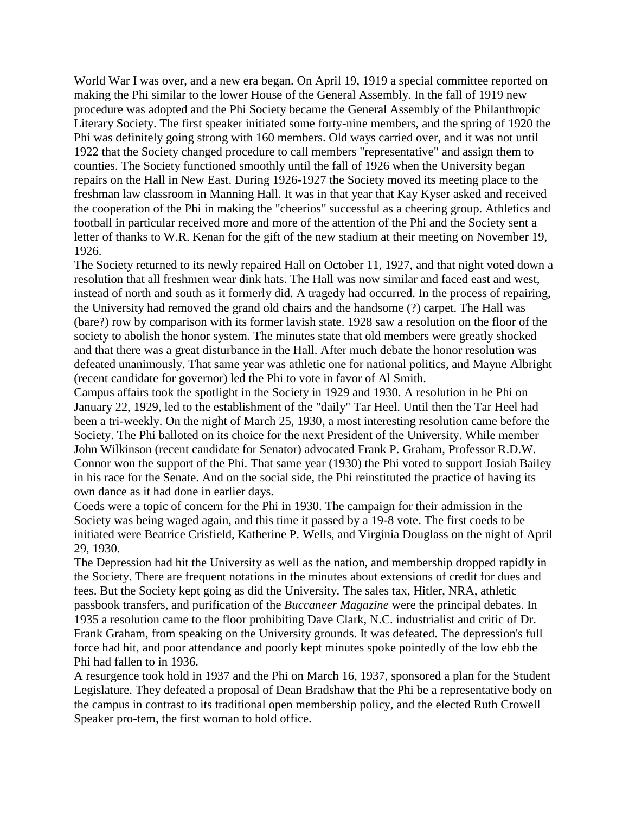World War I was over, and a new era began. On April 19, 1919 a special committee reported on making the Phi similar to the lower House of the General Assembly. In the fall of 1919 new procedure was adopted and the Phi Society became the General Assembly of the Philanthropic Literary Society. The first speaker initiated some forty-nine members, and the spring of 1920 the Phi was definitely going strong with 160 members. Old ways carried over, and it was not until 1922 that the Society changed procedure to call members "representative" and assign them to counties. The Society functioned smoothly until the fall of 1926 when the University began repairs on the Hall in New East. During 1926-1927 the Society moved its meeting place to the freshman law classroom in Manning Hall. It was in that year that Kay Kyser asked and received the cooperation of the Phi in making the "cheerios" successful as a cheering group. Athletics and football in particular received more and more of the attention of the Phi and the Society sent a letter of thanks to W.R. Kenan for the gift of the new stadium at their meeting on November 19, 1926.

The Society returned to its newly repaired Hall on October 11, 1927, and that night voted down a resolution that all freshmen wear dink hats. The Hall was now similar and faced east and west, instead of north and south as it formerly did. A tragedy had occurred. In the process of repairing, the University had removed the grand old chairs and the handsome (?) carpet. The Hall was (bare?) row by comparison with its former lavish state. 1928 saw a resolution on the floor of the society to abolish the honor system. The minutes state that old members were greatly shocked and that there was a great disturbance in the Hall. After much debate the honor resolution was defeated unanimously. That same year was athletic one for national politics, and Mayne Albright (recent candidate for governor) led the Phi to vote in favor of Al Smith.

Campus affairs took the spotlight in the Society in 1929 and 1930. A resolution in he Phi on January 22, 1929, led to the establishment of the "daily" Tar Heel. Until then the Tar Heel had been a tri-weekly. On the night of March 25, 1930, a most interesting resolution came before the Society. The Phi balloted on its choice for the next President of the University. While member John Wilkinson (recent candidate for Senator) advocated Frank P. Graham, Professor R.D.W. Connor won the support of the Phi. That same year (1930) the Phi voted to support Josiah Bailey in his race for the Senate. And on the social side, the Phi reinstituted the practice of having its own dance as it had done in earlier days.

Coeds were a topic of concern for the Phi in 1930. The campaign for their admission in the Society was being waged again, and this time it passed by a 19-8 vote. The first coeds to be initiated were Beatrice Crisfield, Katherine P. Wells, and Virginia Douglass on the night of April 29, 1930.

The Depression had hit the University as well as the nation, and membership dropped rapidly in the Society. There are frequent notations in the minutes about extensions of credit for dues and fees. But the Society kept going as did the University. The sales tax, Hitler, NRA, athletic passbook transfers, and purification of the *Buccaneer Magazine* were the principal debates. In 1935 a resolution came to the floor prohibiting Dave Clark, N.C. industrialist and critic of Dr. Frank Graham, from speaking on the University grounds. It was defeated. The depression's full force had hit, and poor attendance and poorly kept minutes spoke pointedly of the low ebb the Phi had fallen to in 1936.

A resurgence took hold in 1937 and the Phi on March 16, 1937, sponsored a plan for the Student Legislature. They defeated a proposal of Dean Bradshaw that the Phi be a representative body on the campus in contrast to its traditional open membership policy, and the elected Ruth Crowell Speaker pro-tem, the first woman to hold office.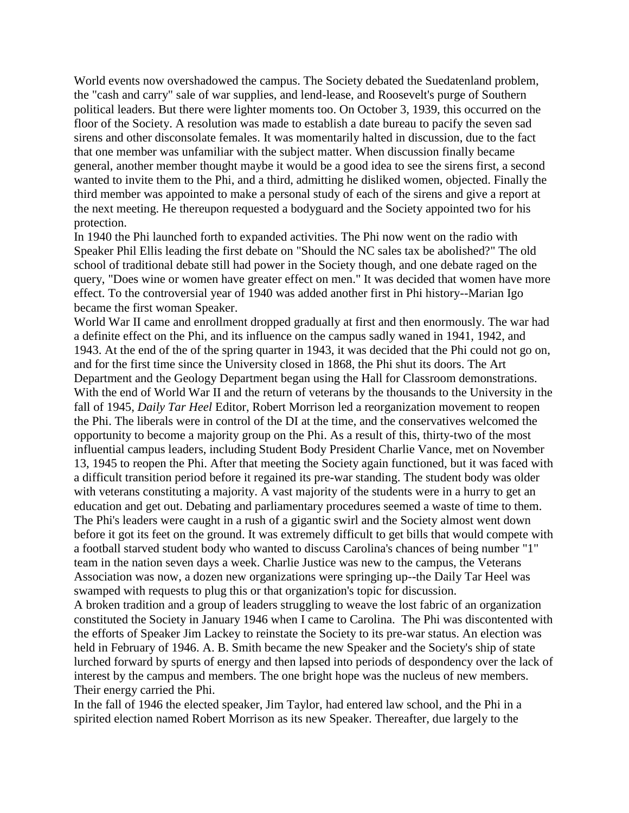World events now overshadowed the campus. The Society debated the Suedatenland problem, the "cash and carry" sale of war supplies, and lend-lease, and Roosevelt's purge of Southern political leaders. But there were lighter moments too. On October 3, 1939, this occurred on the floor of the Society. A resolution was made to establish a date bureau to pacify the seven sad sirens and other disconsolate females. It was momentarily halted in discussion, due to the fact that one member was unfamiliar with the subject matter. When discussion finally became general, another member thought maybe it would be a good idea to see the sirens first, a second wanted to invite them to the Phi, and a third, admitting he disliked women, objected. Finally the third member was appointed to make a personal study of each of the sirens and give a report at the next meeting. He thereupon requested a bodyguard and the Society appointed two for his protection.

In 1940 the Phi launched forth to expanded activities. The Phi now went on the radio with Speaker Phil Ellis leading the first debate on "Should the NC sales tax be abolished?" The old school of traditional debate still had power in the Society though, and one debate raged on the query, "Does wine or women have greater effect on men." It was decided that women have more effect. To the controversial year of 1940 was added another first in Phi history--Marian Igo became the first woman Speaker.

World War II came and enrollment dropped gradually at first and then enormously. The war had a definite effect on the Phi, and its influence on the campus sadly waned in 1941, 1942, and 1943. At the end of the of the spring quarter in 1943, it was decided that the Phi could not go on, and for the first time since the University closed in 1868, the Phi shut its doors. The Art Department and the Geology Department began using the Hall for Classroom demonstrations. With the end of World War II and the return of veterans by the thousands to the University in the fall of 1945, *Daily Tar Heel* Editor, Robert Morrison led a reorganization movement to reopen the Phi. The liberals were in control of the DI at the time, and the conservatives welcomed the opportunity to become a majority group on the Phi. As a result of this, thirty-two of the most influential campus leaders, including Student Body President Charlie Vance, met on November 13, 1945 to reopen the Phi. After that meeting the Society again functioned, but it was faced with a difficult transition period before it regained its pre-war standing. The student body was older with veterans constituting a majority. A vast majority of the students were in a hurry to get an education and get out. Debating and parliamentary procedures seemed a waste of time to them. The Phi's leaders were caught in a rush of a gigantic swirl and the Society almost went down before it got its feet on the ground. It was extremely difficult to get bills that would compete with a football starved student body who wanted to discuss Carolina's chances of being number "1" team in the nation seven days a week. Charlie Justice was new to the campus, the Veterans Association was now, a dozen new organizations were springing up--the Daily Tar Heel was swamped with requests to plug this or that organization's topic for discussion.

A broken tradition and a group of leaders struggling to weave the lost fabric of an organization constituted the Society in January 1946 when I came to Carolina. The Phi was discontented with the efforts of Speaker Jim Lackey to reinstate the Society to its pre-war status. An election was held in February of 1946. A. B. Smith became the new Speaker and the Society's ship of state lurched forward by spurts of energy and then lapsed into periods of despondency over the lack of interest by the campus and members. The one bright hope was the nucleus of new members. Their energy carried the Phi.

In the fall of 1946 the elected speaker, Jim Taylor, had entered law school, and the Phi in a spirited election named Robert Morrison as its new Speaker. Thereafter, due largely to the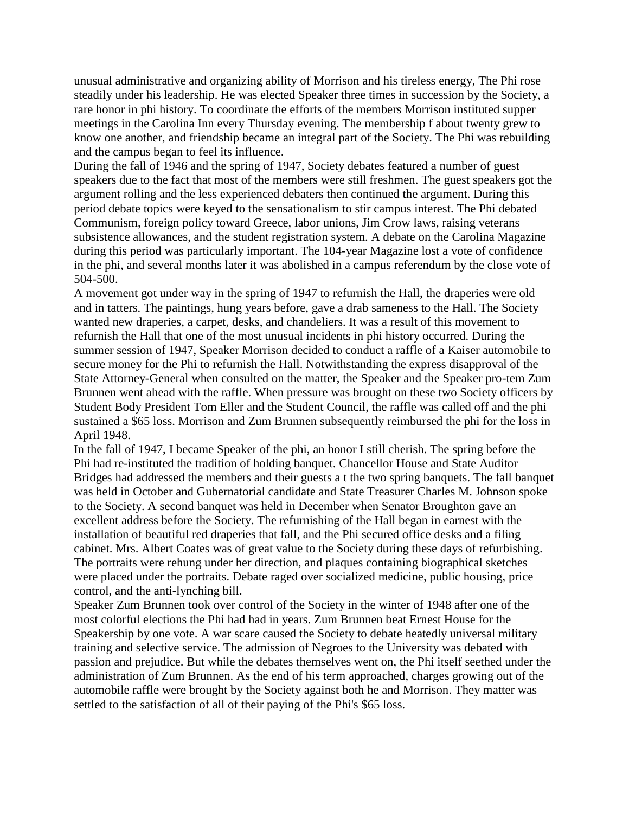unusual administrative and organizing ability of Morrison and his tireless energy, The Phi rose steadily under his leadership. He was elected Speaker three times in succession by the Society, a rare honor in phi history. To coordinate the efforts of the members Morrison instituted supper meetings in the Carolina Inn every Thursday evening. The membership f about twenty grew to know one another, and friendship became an integral part of the Society. The Phi was rebuilding and the campus began to feel its influence.

During the fall of 1946 and the spring of 1947, Society debates featured a number of guest speakers due to the fact that most of the members were still freshmen. The guest speakers got the argument rolling and the less experienced debaters then continued the argument. During this period debate topics were keyed to the sensationalism to stir campus interest. The Phi debated Communism, foreign policy toward Greece, labor unions, Jim Crow laws, raising veterans subsistence allowances, and the student registration system. A debate on the Carolina Magazine during this period was particularly important. The 104-year Magazine lost a vote of confidence in the phi, and several months later it was abolished in a campus referendum by the close vote of 504-500.

A movement got under way in the spring of 1947 to refurnish the Hall, the draperies were old and in tatters. The paintings, hung years before, gave a drab sameness to the Hall. The Society wanted new draperies, a carpet, desks, and chandeliers. It was a result of this movement to refurnish the Hall that one of the most unusual incidents in phi history occurred. During the summer session of 1947, Speaker Morrison decided to conduct a raffle of a Kaiser automobile to secure money for the Phi to refurnish the Hall. Notwithstanding the express disapproval of the State Attorney-General when consulted on the matter, the Speaker and the Speaker pro-tem Zum Brunnen went ahead with the raffle. When pressure was brought on these two Society officers by Student Body President Tom Eller and the Student Council, the raffle was called off and the phi sustained a \$65 loss. Morrison and Zum Brunnen subsequently reimbursed the phi for the loss in April 1948.

In the fall of 1947, I became Speaker of the phi, an honor I still cherish. The spring before the Phi had re-instituted the tradition of holding banquet. Chancellor House and State Auditor Bridges had addressed the members and their guests a t the two spring banquets. The fall banquet was held in October and Gubernatorial candidate and State Treasurer Charles M. Johnson spoke to the Society. A second banquet was held in December when Senator Broughton gave an excellent address before the Society. The refurnishing of the Hall began in earnest with the installation of beautiful red draperies that fall, and the Phi secured office desks and a filing cabinet. Mrs. Albert Coates was of great value to the Society during these days of refurbishing. The portraits were rehung under her direction, and plaques containing biographical sketches were placed under the portraits. Debate raged over socialized medicine, public housing, price control, and the anti-lynching bill.

Speaker Zum Brunnen took over control of the Society in the winter of 1948 after one of the most colorful elections the Phi had had in years. Zum Brunnen beat Ernest House for the Speakership by one vote. A war scare caused the Society to debate heatedly universal military training and selective service. The admission of Negroes to the University was debated with passion and prejudice. But while the debates themselves went on, the Phi itself seethed under the administration of Zum Brunnen. As the end of his term approached, charges growing out of the automobile raffle were brought by the Society against both he and Morrison. They matter was settled to the satisfaction of all of their paying of the Phi's \$65 loss.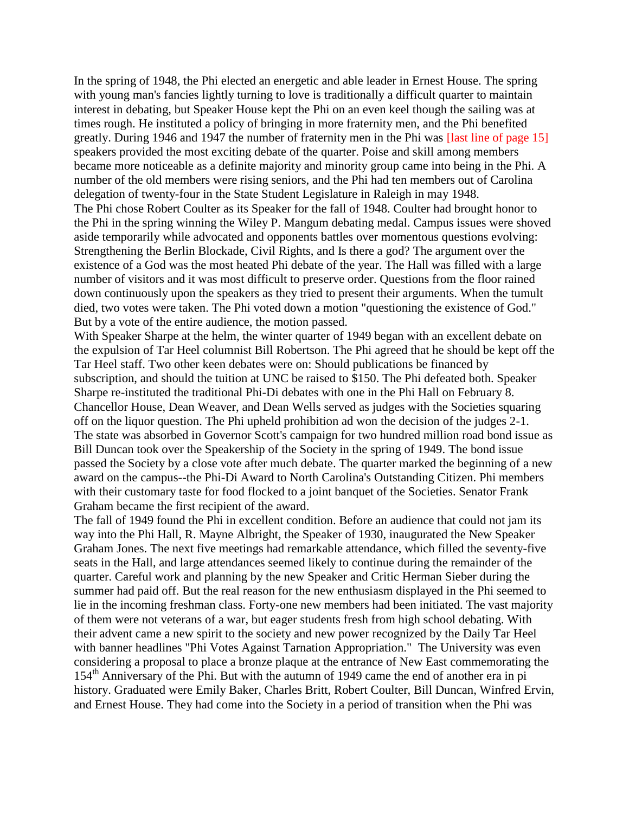In the spring of 1948, the Phi elected an energetic and able leader in Ernest House. The spring with young man's fancies lightly turning to love is traditionally a difficult quarter to maintain interest in debating, but Speaker House kept the Phi on an even keel though the sailing was at times rough. He instituted a policy of bringing in more fraternity men, and the Phi benefited greatly. During 1946 and 1947 the number of fraternity men in the Phi was [last line of page 15] speakers provided the most exciting debate of the quarter. Poise and skill among members became more noticeable as a definite majority and minority group came into being in the Phi. A number of the old members were rising seniors, and the Phi had ten members out of Carolina delegation of twenty-four in the State Student Legislature in Raleigh in may 1948. The Phi chose Robert Coulter as its Speaker for the fall of 1948. Coulter had brought honor to the Phi in the spring winning the Wiley P. Mangum debating medal. Campus issues were shoved aside temporarily while advocated and opponents battles over momentous questions evolving: Strengthening the Berlin Blockade, Civil Rights, and Is there a god? The argument over the existence of a God was the most heated Phi debate of the year. The Hall was filled with a large number of visitors and it was most difficult to preserve order. Questions from the floor rained down continuously upon the speakers as they tried to present their arguments. When the tumult died, two votes were taken. The Phi voted down a motion "questioning the existence of God." But by a vote of the entire audience, the motion passed.

With Speaker Sharpe at the helm, the winter quarter of 1949 began with an excellent debate on the expulsion of Tar Heel columnist Bill Robertson. The Phi agreed that he should be kept off the Tar Heel staff. Two other keen debates were on: Should publications be financed by subscription, and should the tuition at UNC be raised to \$150. The Phi defeated both. Speaker Sharpe re-instituted the traditional Phi-Di debates with one in the Phi Hall on February 8. Chancellor House, Dean Weaver, and Dean Wells served as judges with the Societies squaring off on the liquor question. The Phi upheld prohibition ad won the decision of the judges 2-1. The state was absorbed in Governor Scott's campaign for two hundred million road bond issue as Bill Duncan took over the Speakership of the Society in the spring of 1949. The bond issue passed the Society by a close vote after much debate. The quarter marked the beginning of a new award on the campus--the Phi-Di Award to North Carolina's Outstanding Citizen. Phi members with their customary taste for food flocked to a joint banquet of the Societies. Senator Frank Graham became the first recipient of the award.

The fall of 1949 found the Phi in excellent condition. Before an audience that could not jam its way into the Phi Hall, R. Mayne Albright, the Speaker of 1930, inaugurated the New Speaker Graham Jones. The next five meetings had remarkable attendance, which filled the seventy-five seats in the Hall, and large attendances seemed likely to continue during the remainder of the quarter. Careful work and planning by the new Speaker and Critic Herman Sieber during the summer had paid off. But the real reason for the new enthusiasm displayed in the Phi seemed to lie in the incoming freshman class. Forty-one new members had been initiated. The vast majority of them were not veterans of a war, but eager students fresh from high school debating. With their advent came a new spirit to the society and new power recognized by the Daily Tar Heel with banner headlines "Phi Votes Against Tarnation Appropriation." The University was even considering a proposal to place a bronze plaque at the entrance of New East commemorating the 154th Anniversary of the Phi. But with the autumn of 1949 came the end of another era in pi history. Graduated were Emily Baker, Charles Britt, Robert Coulter, Bill Duncan, Winfred Ervin, and Ernest House. They had come into the Society in a period of transition when the Phi was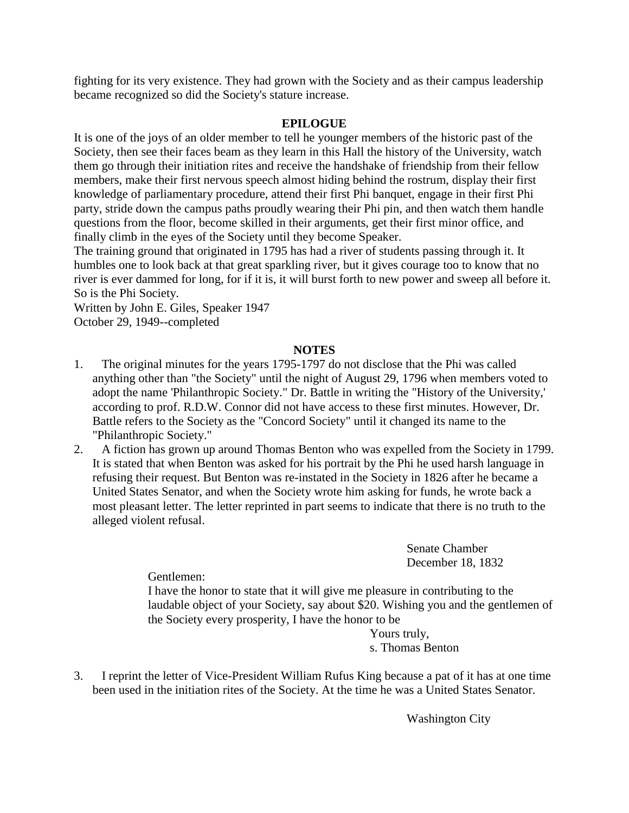fighting for its very existence. They had grown with the Society and as their campus leadership became recognized so did the Society's stature increase.

# **EPILOGUE**

It is one of the joys of an older member to tell he younger members of the historic past of the Society, then see their faces beam as they learn in this Hall the history of the University, watch them go through their initiation rites and receive the handshake of friendship from their fellow members, make their first nervous speech almost hiding behind the rostrum, display their first knowledge of parliamentary procedure, attend their first Phi banquet, engage in their first Phi party, stride down the campus paths proudly wearing their Phi pin, and then watch them handle questions from the floor, become skilled in their arguments, get their first minor office, and finally climb in the eyes of the Society until they become Speaker.

The training ground that originated in 1795 has had a river of students passing through it. It humbles one to look back at that great sparkling river, but it gives courage too to know that no river is ever dammed for long, for if it is, it will burst forth to new power and sweep all before it. So is the Phi Society.

Written by John E. Giles, Speaker 1947 October 29, 1949--completed

## **NOTES**

- 1. The original minutes for the years 1795-1797 do not disclose that the Phi was called anything other than "the Society" until the night of August 29, 1796 when members voted to adopt the name 'Philanthropic Society." Dr. Battle in writing the "History of the University,' according to prof. R.D.W. Connor did not have access to these first minutes. However, Dr. Battle refers to the Society as the "Concord Society" until it changed its name to the "Philanthropic Society."
- 2. A fiction has grown up around Thomas Benton who was expelled from the Society in 1799. It is stated that when Benton was asked for his portrait by the Phi he used harsh language in refusing their request. But Benton was re-instated in the Society in 1826 after he became a United States Senator, and when the Society wrote him asking for funds, he wrote back a most pleasant letter. The letter reprinted in part seems to indicate that there is no truth to the alleged violent refusal.

Senate Chamber December 18, 1832

Gentlemen:

I have the honor to state that it will give me pleasure in contributing to the laudable object of your Society, say about \$20. Wishing you and the gentlemen of the Society every prosperity, I have the honor to be

Yours truly, s. Thomas Benton

3. I reprint the letter of Vice-President William Rufus King because a pat of it has at one time been used in the initiation rites of the Society. At the time he was a United States Senator.

Washington City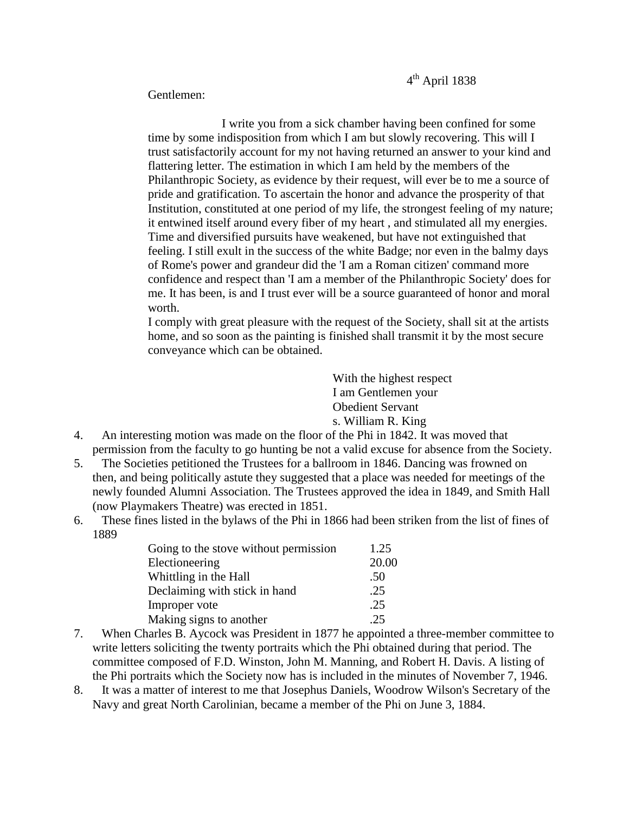Gentlemen:

I write you from a sick chamber having been confined for some time by some indisposition from which I am but slowly recovering. This will I trust satisfactorily account for my not having returned an answer to your kind and flattering letter. The estimation in which I am held by the members of the Philanthropic Society, as evidence by their request, will ever be to me a source of pride and gratification. To ascertain the honor and advance the prosperity of that Institution, constituted at one period of my life, the strongest feeling of my nature; it entwined itself around every fiber of my heart , and stimulated all my energies. Time and diversified pursuits have weakened, but have not extinguished that feeling. I still exult in the success of the white Badge; nor even in the balmy days of Rome's power and grandeur did the 'I am a Roman citizen' command more confidence and respect than 'I am a member of the Philanthropic Society' does for me. It has been, is and I trust ever will be a source guaranteed of honor and moral worth.

I comply with great pleasure with the request of the Society, shall sit at the artists home, and so soon as the painting is finished shall transmit it by the most secure conveyance which can be obtained.

> With the highest respect I am Gentlemen your Obedient Servant s. William R. King

- 4. An interesting motion was made on the floor of the Phi in 1842. It was moved that permission from the faculty to go hunting be not a valid excuse for absence from the Society.
- 5. The Societies petitioned the Trustees for a ballroom in 1846. Dancing was frowned on then, and being politically astute they suggested that a place was needed for meetings of the newly founded Alumni Association. The Trustees approved the idea in 1849, and Smith Hall (now Playmakers Theatre) was erected in 1851.
- 6. These fines listed in the bylaws of the Phi in 1866 had been striken from the list of fines of 1889

| Going to the stove without permission | 1.25  |
|---------------------------------------|-------|
| Electioneering                        | 20.00 |
| Whittling in the Hall                 | .50   |
| Declaiming with stick in hand         | .25   |
| Improper vote                         | .25   |
| Making signs to another               | .25   |

- 7. When Charles B. Aycock was President in 1877 he appointed a three-member committee to write letters soliciting the twenty portraits which the Phi obtained during that period. The committee composed of F.D. Winston, John M. Manning, and Robert H. Davis. A listing of the Phi portraits which the Society now has is included in the minutes of November 7, 1946.
- 8. It was a matter of interest to me that Josephus Daniels, Woodrow Wilson's Secretary of the Navy and great North Carolinian, became a member of the Phi on June 3, 1884.